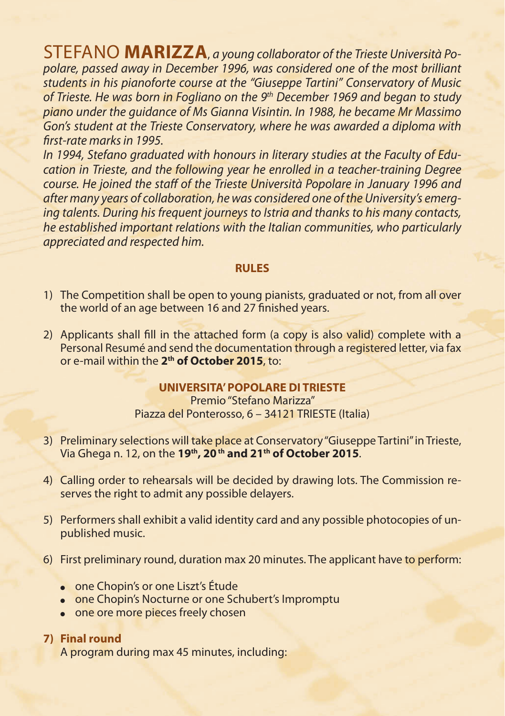STEFANO **MARIZZA**, *a young collaborator of the Trieste Università Popolare, passed away in December 1996, was considered one of the most brilliant students in his pianoforte course at the "Giuseppe Tartini" Conservatory of Music of Trieste. He was born in Fogliano on the 9th December 1969 and began to study piano under the guidance of Ms Gianna Visintin. In 1988, he became Mr Massimo Gon's student at the Trieste Conservatory, where he was awarded a diploma with first-rate marks in 1995.*

*In 1994, Stefano graduated with honours in literary studies at the Faculty of Education in Trieste, and the following year he enrolled in a teacher-training Degree course. He joined the staff of the Trieste Università Popolare in January 1996 and after many years of collaboration, he was considered one of the University's emerging talents. During his frequent journeys to Istria and thanks to his many contacts, he established important relations with the Italian communities, who particularly appreciated and respected him.*

## **RULES**

- 1) The Competition shall be open to young pianists, graduated or not, from all over the world of an age between 16 and 27 finished years.
- 2) Applicants shall fill in the attached form (a copy is also valid) complete with a Personal Resumé and send the documentation through a registered letter, via fax or e-mail within the **2th of October 2015**, to:

## **UNIVERSITA' POPOLARE DI TRIESTE**

Premio "Stefano Marizza" Piazza del Ponterosso, 6 – 34121 TRIESTE (Italia)

- 3) Preliminary selections will take place at Conservatory "Giuseppe Tartini" in Trieste, Via Ghega n. 12, on the **19th, 20 th and 21th of October 2015**.
- 4) Calling order to rehearsals will be decided by drawing lots. The Commission reserves the right to admit any possible delayers.
- 5) Performers shall exhibit a valid identity card and any possible photocopies of unpublished music.
- 6) First preliminary round, duration max 20 minutes. The applicant have to perform:
	- one Chopin's or one Liszt's Étude
	- one Chopin's Nocturne or one Schubert's Impromptu
	- one ore more pieces freely chosen

## **7) Final round**

A program during max 45 minutes, including: